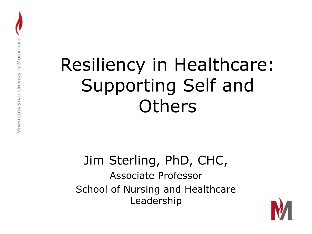#### Resiliency in Healthcare: Supporting Self and **Others**

#### Jim Sterling, PhD, CHC, Associate Professor School of Nursing and Healthcare Leadership

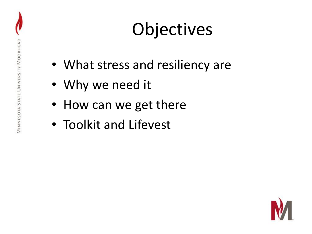## Objectives

- What stress and resiliency are
- Why we need it
- How can we get there
- Toolkit and Lifevest

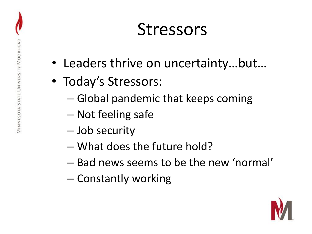#### **Stressors**

- Leaders thrive on uncertainty…but…
- Today's Stressors:
	- Global pandemic that keeps coming
	- Not feeling safe
	- Job security
	- What does the future hold?
	- Bad news seems to be the new 'normal'
	- Constantly working

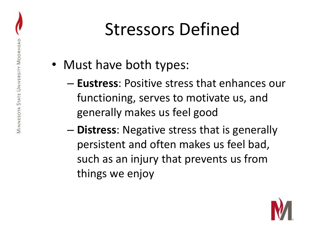#### Stressors Defined

- Must have both types:
	- **Eustress**: Positive stress that enhances our functioning, serves to motivate us, and generally makes us feel good
	- **Distress**: Negative stress that is generally persistent and often makes us feel bad, such as an injury that prevents us from things we enjoy

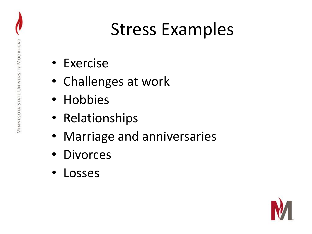#### Stress Examples

- Exercise
- Challenges at work
- Hobbies
- Relationships
- Marriage and anniversaries
- **Divorces**
- **Losses**

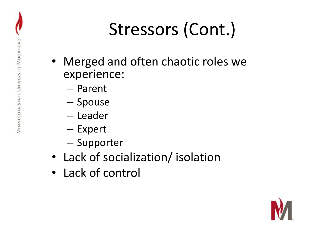# Stressors (Cont.)

- Merged and often chaotic roles we experience:
	- Parent
	- Spouse
	- Leader
	- Expert
	- Supporter
- Lack of socialization/ isolation
- Lack of control

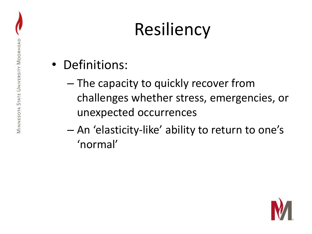### Resiliency

- Definitions:
	- The capacity to quickly recover from challenges whether stress, emergencies, or unexpected occurrences
	- An 'elasticity-like' ability to return to one's 'normal'

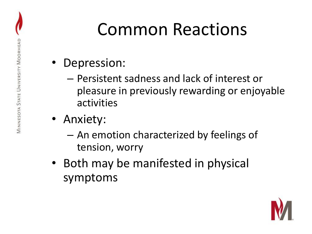#### Common Reactions

- Depression:
	- Persistent sadness and lack of interest or pleasure in previously rewarding or enjoyable activities
- Anxiety:
	- An emotion characterized by feelings of tension, worry
- Both may be manifested in physical symptoms

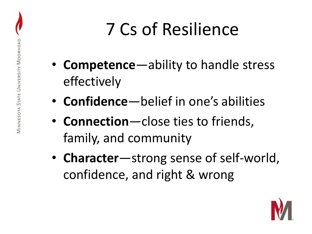### 7 Cs of Resilience

- **Competence**—ability to handle stress effectively
- **Confidence**—belief in one's abilities
- **Connection**—close ties to friends, family, and community
- **Character**—strong sense of self-world, confidence, and right & wrong

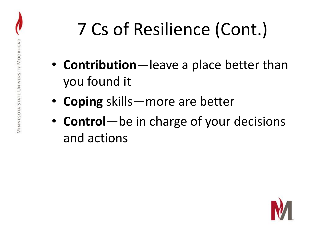# 7 Cs of Resilience (Cont.)

- **Contribution**—leave a place better than you found it
- **Coping** skills—more are better
- **Control**—be in charge of your decisions and actions

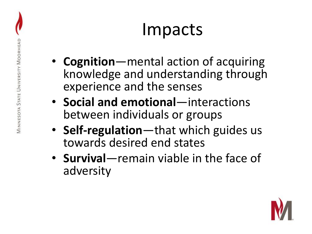#### Impacts

- **Cognition**—mental action of acquiring knowledge and understanding through experience and the senses
- **Social and emotional**—interactions between individuals or groups
- **Self-regulation**—that which guides us towards desired end states
- **Survival**—remain viable in the face of adversity

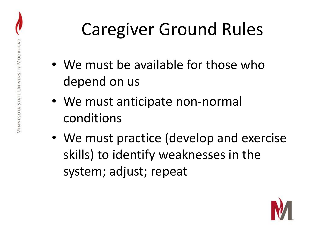#### Caregiver Ground Rules

- We must be available for those who depend on us
- We must anticipate non-normal conditions
- We must practice (develop and exercise skills) to identify weaknesses in the system; adjust; repeat

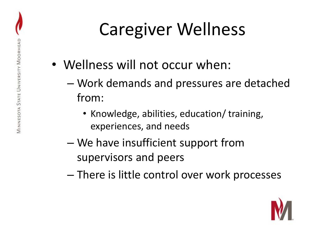### Caregiver Wellness

- Wellness will not occur when:
	- Work demands and pressures are detached from:
		- Knowledge, abilities, education/ training, experiences, and needs
	- We have insufficient support from supervisors and peers
	- There is little control over work processes

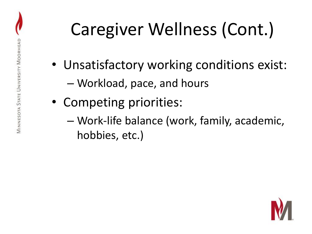# Caregiver Wellness (Cont.)

- Unsatisfactory working conditions exist:
	- Workload, pace, and hours
- Competing priorities:
	- Work-life balance (work, family, academic, hobbies, etc.)

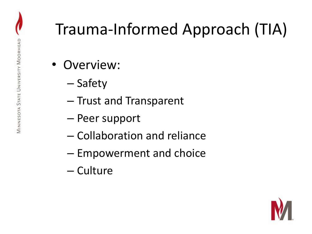#### Trauma-Informed Approach (TIA)

- Overview:
	- Safety
	- Trust and Transparent
	- Peer support
	- Collaboration and reliance
	- Empowerment and choice
	- Culture

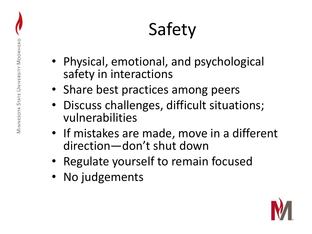## Safety

- Physical, emotional, and psychological safety in interactions
- Share best practices among peers
- Discuss challenges, difficult situations; vulnerabilities
- If mistakes are made, move in a different direction—don't shut down
- Regulate yourself to remain focused
- No judgements

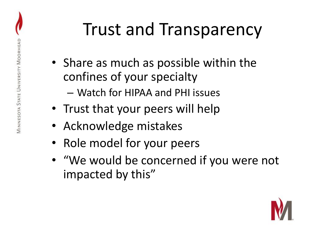#### Trust and Transparency

- Share as much as possible within the confines of your specialty
	- Watch for HIPAA and PHI issues
- Trust that your peers will help
- Acknowledge mistakes
- Role model for your peers
- "We would be concerned if you were not impacted by this"

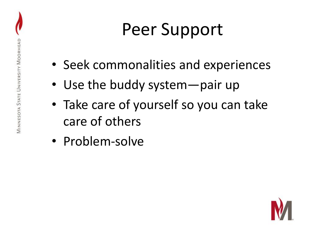#### Peer Support

- Seek commonalities and experiences
- Use the buddy system—pair up
- Take care of yourself so you can take care of others
- Problem-solve

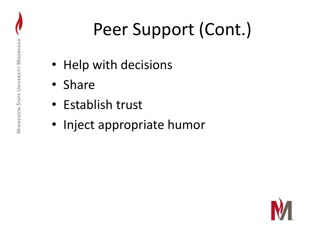# Peer Support (Cont.)

- Help with decisions
- Share
- Establish trust
- Inject appropriate humor

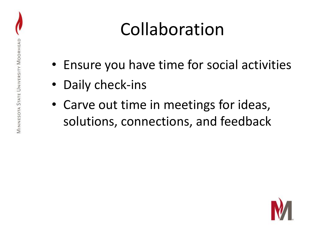#### Collaboration

- Ensure you have time for social activities
- Daily check-ins
- Carve out time in meetings for ideas, solutions, connections, and feedback

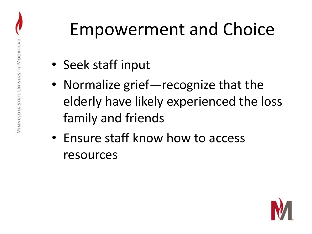#### Empowerment and Choice

- Seek staff input
- Normalize grief—recognize that the elderly have likely experienced the loss family and friends
- Ensure staff know how to access resources

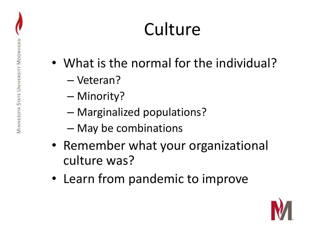## **Culture**

- What is the normal for the individual?
	- Veteran?
	- Minority?
	- Marginalized populations?
	- May be combinations
- Remember what your organizational culture was?
- Learn from pandemic to improve

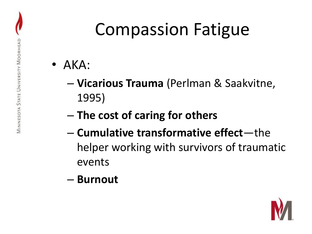#### Compassion Fatigue

- AKA:
	- **Vicarious Trauma** (Perlman & Saakvitne, 1995)
	- **The cost of caring for others**
	- **Cumulative transformative effect**—the helper working with survivors of traumatic events
	- **Burnout**

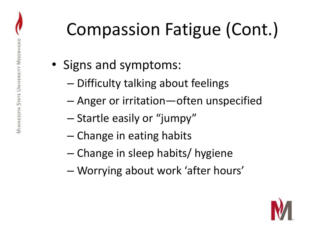### Compassion Fatigue (Cont.)

- Signs and symptoms:
	- Difficulty talking about feelings
	- Anger or irritation—often unspecified
	- Startle easily or "jumpy"
	- Change in eating habits
	- Change in sleep habits/ hygiene
	- Worrying about work 'after hours'

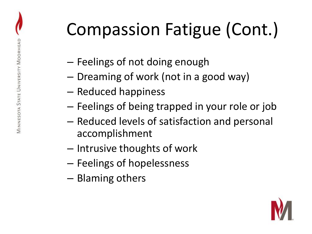## Compassion Fatigue (Cont.)

- Feelings of not doing enough
- Dreaming of work (not in a good way)
- Reduced happiness
- Feelings of being trapped in your role or job
- Reduced levels of satisfaction and personal accomplishment
- Intrusive thoughts of work
- Feelings of hopelessness
- Blaming others

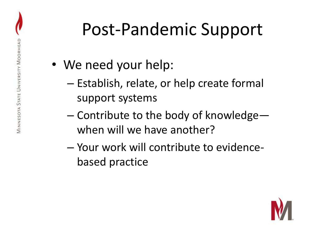#### Post-Pandemic Support

- We need your help:
	- Establish, relate, or help create formal support systems
	- Contribute to the body of knowledge when will we have another?
	- Your work will contribute to evidencebased practice

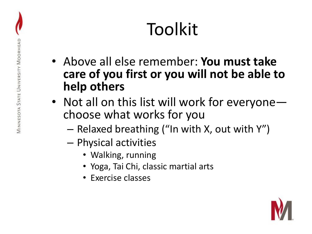## Toolkit

- Above all else remember: **You must take care of you first or you will not be able to help others**
- Not all on this list will work for everyone choose what works for you
	- Relaxed breathing ("In with X, out with Y")
	- Physical activities
		- Walking, running
		- Yoga, Tai Chi, classic martial arts
		- Exercise classes

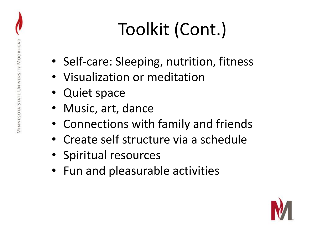# Toolkit (Cont.)

- Self-care: Sleeping, nutrition, fitness
- Visualization or meditation
- Quiet space
- Music, art, dance
- Connections with family and friends
- Create self structure via a schedule
- Spiritual resources
- Fun and pleasurable activities

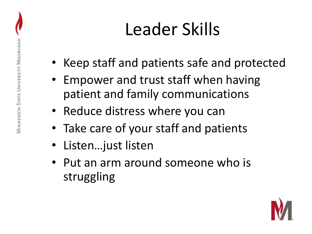## Leader Skills

- Keep staff and patients safe and protected
- Empower and trust staff when having patient and family communications
- Reduce distress where you can
- Take care of your staff and patients
- Listen…just listen
- Put an arm around someone who is struggling

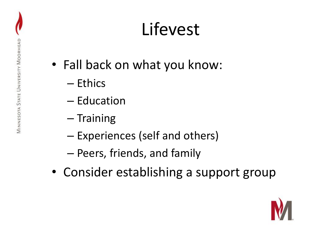#### Lifevest

- Fall back on what you know:
	- Ethics
	- Education
	- Training
	- Experiences (self and others)
	- Peers, friends, and family
- Consider establishing a support group

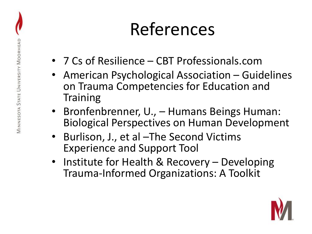#### References

- 7 Cs of Resilience CBT Professionals.com
- American Psychological Association Guidelines on Trauma Competencies for Education and **Training**
- Bronfenbrenner, U., Humans Beings Human: Biological Perspectives on Human Development
- Burlison, J., et al –The Second Victims Experience and Support Tool
- Institute for Health & Recovery Developing Trauma-Informed Organizations: A Toolkit

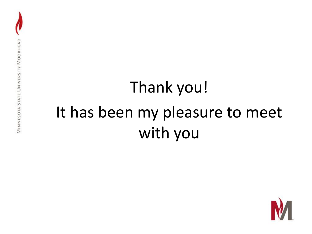#### Thank you! It has been my pleasure to meet with you